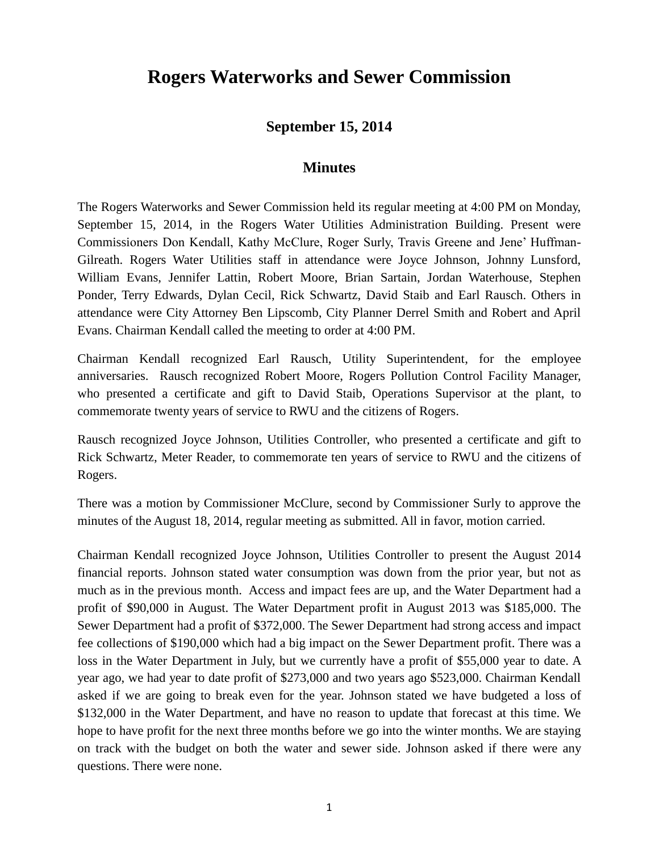## **Rogers Waterworks and Sewer Commission**

## **September 15, 2014**

## **Minutes**

The Rogers Waterworks and Sewer Commission held its regular meeting at 4:00 PM on Monday, September 15, 2014, in the Rogers Water Utilities Administration Building. Present were Commissioners Don Kendall, Kathy McClure, Roger Surly, Travis Greene and Jene' Huffman-Gilreath. Rogers Water Utilities staff in attendance were Joyce Johnson, Johnny Lunsford, William Evans, Jennifer Lattin, Robert Moore, Brian Sartain, Jordan Waterhouse, Stephen Ponder, Terry Edwards, Dylan Cecil, Rick Schwartz, David Staib and Earl Rausch. Others in attendance were City Attorney Ben Lipscomb, City Planner Derrel Smith and Robert and April Evans. Chairman Kendall called the meeting to order at 4:00 PM.

Chairman Kendall recognized Earl Rausch, Utility Superintendent, for the employee anniversaries. Rausch recognized Robert Moore, Rogers Pollution Control Facility Manager, who presented a certificate and gift to David Staib, Operations Supervisor at the plant, to commemorate twenty years of service to RWU and the citizens of Rogers.

Rausch recognized Joyce Johnson, Utilities Controller, who presented a certificate and gift to Rick Schwartz, Meter Reader, to commemorate ten years of service to RWU and the citizens of Rogers.

There was a motion by Commissioner McClure, second by Commissioner Surly to approve the minutes of the August 18, 2014, regular meeting as submitted. All in favor, motion carried.

Chairman Kendall recognized Joyce Johnson, Utilities Controller to present the August 2014 financial reports. Johnson stated water consumption was down from the prior year, but not as much as in the previous month. Access and impact fees are up, and the Water Department had a profit of \$90,000 in August. The Water Department profit in August 2013 was \$185,000. The Sewer Department had a profit of \$372,000. The Sewer Department had strong access and impact fee collections of \$190,000 which had a big impact on the Sewer Department profit. There was a loss in the Water Department in July, but we currently have a profit of \$55,000 year to date. A year ago, we had year to date profit of \$273,000 and two years ago \$523,000. Chairman Kendall asked if we are going to break even for the year. Johnson stated we have budgeted a loss of \$132,000 in the Water Department, and have no reason to update that forecast at this time. We hope to have profit for the next three months before we go into the winter months. We are staying on track with the budget on both the water and sewer side. Johnson asked if there were any questions. There were none.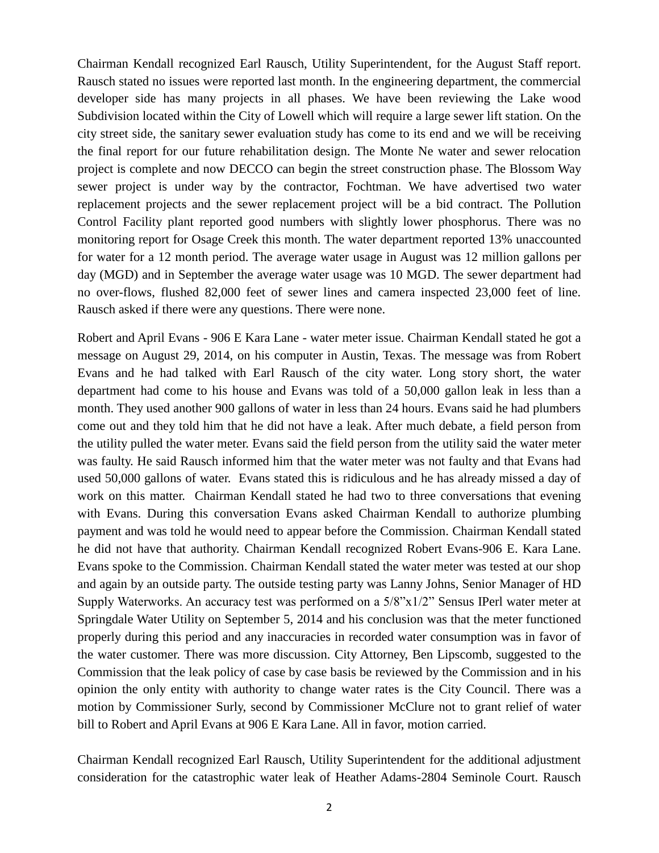Chairman Kendall recognized Earl Rausch, Utility Superintendent, for the August Staff report. Rausch stated no issues were reported last month. In the engineering department, the commercial developer side has many projects in all phases. We have been reviewing the Lake wood Subdivision located within the City of Lowell which will require a large sewer lift station. On the city street side, the sanitary sewer evaluation study has come to its end and we will be receiving the final report for our future rehabilitation design. The Monte Ne water and sewer relocation project is complete and now DECCO can begin the street construction phase. The Blossom Way sewer project is under way by the contractor, Fochtman. We have advertised two water replacement projects and the sewer replacement project will be a bid contract. The Pollution Control Facility plant reported good numbers with slightly lower phosphorus. There was no monitoring report for Osage Creek this month. The water department reported 13% unaccounted for water for a 12 month period. The average water usage in August was 12 million gallons per day (MGD) and in September the average water usage was 10 MGD. The sewer department had no over-flows, flushed 82,000 feet of sewer lines and camera inspected 23,000 feet of line. Rausch asked if there were any questions. There were none.

Robert and April Evans - 906 E Kara Lane - water meter issue. Chairman Kendall stated he got a message on August 29, 2014, on his computer in Austin, Texas. The message was from Robert Evans and he had talked with Earl Rausch of the city water. Long story short, the water department had come to his house and Evans was told of a 50,000 gallon leak in less than a month. They used another 900 gallons of water in less than 24 hours. Evans said he had plumbers come out and they told him that he did not have a leak. After much debate, a field person from the utility pulled the water meter. Evans said the field person from the utility said the water meter was faulty. He said Rausch informed him that the water meter was not faulty and that Evans had used 50,000 gallons of water. Evans stated this is ridiculous and he has already missed a day of work on this matter. Chairman Kendall stated he had two to three conversations that evening with Evans. During this conversation Evans asked Chairman Kendall to authorize plumbing payment and was told he would need to appear before the Commission. Chairman Kendall stated he did not have that authority. Chairman Kendall recognized Robert Evans-906 E. Kara Lane. Evans spoke to the Commission. Chairman Kendall stated the water meter was tested at our shop and again by an outside party. The outside testing party was Lanny Johns, Senior Manager of HD Supply Waterworks. An accuracy test was performed on a 5/8"x1/2" Sensus IPerl water meter at Springdale Water Utility on September 5, 2014 and his conclusion was that the meter functioned properly during this period and any inaccuracies in recorded water consumption was in favor of the water customer. There was more discussion. City Attorney, Ben Lipscomb, suggested to the Commission that the leak policy of case by case basis be reviewed by the Commission and in his opinion the only entity with authority to change water rates is the City Council. There was a motion by Commissioner Surly, second by Commissioner McClure not to grant relief of water bill to Robert and April Evans at 906 E Kara Lane. All in favor, motion carried.

Chairman Kendall recognized Earl Rausch, Utility Superintendent for the additional adjustment consideration for the catastrophic water leak of Heather Adams-2804 Seminole Court. Rausch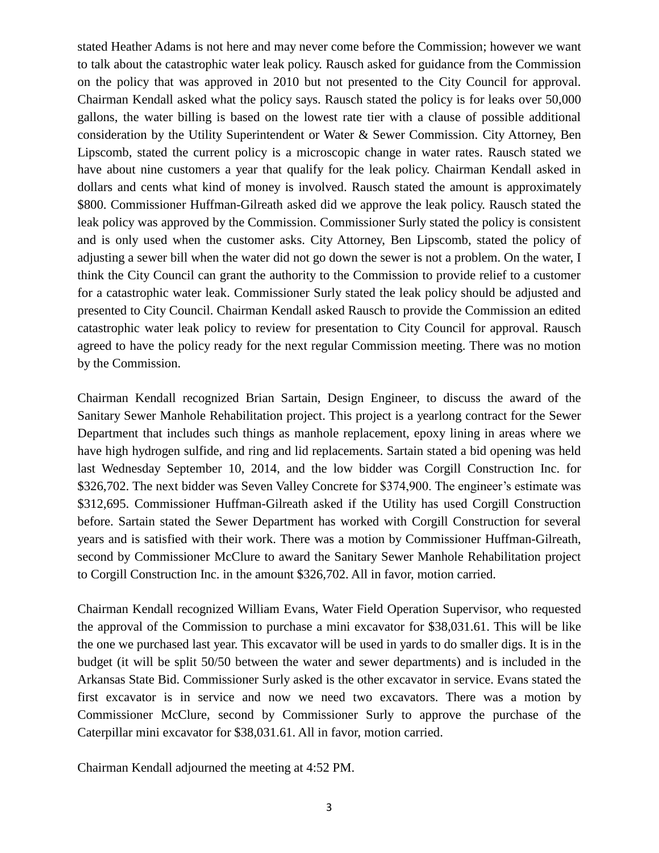stated Heather Adams is not here and may never come before the Commission; however we want to talk about the catastrophic water leak policy. Rausch asked for guidance from the Commission on the policy that was approved in 2010 but not presented to the City Council for approval. Chairman Kendall asked what the policy says. Rausch stated the policy is for leaks over 50,000 gallons, the water billing is based on the lowest rate tier with a clause of possible additional consideration by the Utility Superintendent or Water & Sewer Commission. City Attorney, Ben Lipscomb, stated the current policy is a microscopic change in water rates. Rausch stated we have about nine customers a year that qualify for the leak policy. Chairman Kendall asked in dollars and cents what kind of money is involved. Rausch stated the amount is approximately \$800. Commissioner Huffman-Gilreath asked did we approve the leak policy. Rausch stated the leak policy was approved by the Commission. Commissioner Surly stated the policy is consistent and is only used when the customer asks. City Attorney, Ben Lipscomb, stated the policy of adjusting a sewer bill when the water did not go down the sewer is not a problem. On the water, I think the City Council can grant the authority to the Commission to provide relief to a customer for a catastrophic water leak. Commissioner Surly stated the leak policy should be adjusted and presented to City Council. Chairman Kendall asked Rausch to provide the Commission an edited catastrophic water leak policy to review for presentation to City Council for approval. Rausch agreed to have the policy ready for the next regular Commission meeting. There was no motion by the Commission.

Chairman Kendall recognized Brian Sartain, Design Engineer, to discuss the award of the Sanitary Sewer Manhole Rehabilitation project. This project is a yearlong contract for the Sewer Department that includes such things as manhole replacement, epoxy lining in areas where we have high hydrogen sulfide, and ring and lid replacements. Sartain stated a bid opening was held last Wednesday September 10, 2014, and the low bidder was Corgill Construction Inc. for \$326,702. The next bidder was Seven Valley Concrete for \$374,900. The engineer's estimate was \$312,695. Commissioner Huffman-Gilreath asked if the Utility has used Corgill Construction before. Sartain stated the Sewer Department has worked with Corgill Construction for several years and is satisfied with their work. There was a motion by Commissioner Huffman-Gilreath, second by Commissioner McClure to award the Sanitary Sewer Manhole Rehabilitation project to Corgill Construction Inc. in the amount \$326,702. All in favor, motion carried.

Chairman Kendall recognized William Evans, Water Field Operation Supervisor, who requested the approval of the Commission to purchase a mini excavator for \$38,031.61. This will be like the one we purchased last year. This excavator will be used in yards to do smaller digs. It is in the budget (it will be split 50/50 between the water and sewer departments) and is included in the Arkansas State Bid. Commissioner Surly asked is the other excavator in service. Evans stated the first excavator is in service and now we need two excavators. There was a motion by Commissioner McClure, second by Commissioner Surly to approve the purchase of the Caterpillar mini excavator for \$38,031.61. All in favor, motion carried.

Chairman Kendall adjourned the meeting at 4:52 PM.